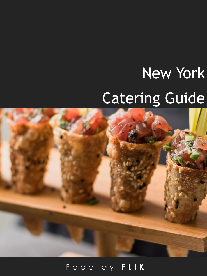# New York Catering Guide

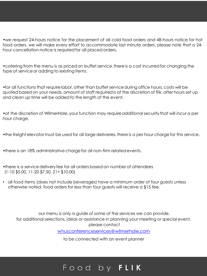•we request 24-hours notice for the placement of all cold food orders and 48-hours notice for hot food orders. we will make every effort to accommodate last minute orders. please note that a 24 hour cancellation notice is requiredfor all placed orders.

•catering from the menu is as priced on buffet service. there is a cost incurred for changing the type of service or adding to existing items.

•for all functions that requirelabor, other than buffet serviceduring office hours, costs will be quoted based on your needs. amount of staff requiredis at the discretion of flik. after hours set up and clean up time will be added to the lenath of the event.

•at the discretion of WilmerHale, your function may requireadditionalsecurity that will incur a per hour charge.

•the freight elevatormust be used for all large deliveries.there is a per hour charge for this service.

•there is an 18% administrative chargefor all non-firm relatedevents.

- •there is a service delivery fee for all orders based on number of attendees (1-10 \$5.00, 11-20 \$7.50, 21+ \$10.00)
- all food items (does not include beverages) have a minimum order of four guests unless otherwise noted. food orders for less than four guests will receive a \$15 fee.

our menu is only a guide of some of the services we can provide. for additional selections, ideas or assistance in planning your meeting or special event, please contact

[whusconferenceservices@wilmerhale.com](mailto:whusconferenceservices@wilmerhale.com)

to be connected with an event planner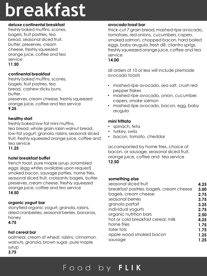## **breakfast**

#### **deluxe continental breakfast**

freshly baked muffins, scones, bagels, fruit pastries, tea bread, seasonal sliced fruit, butter, preserves, cream cheese, freshly squeezed orange juice, coffee and tea service **11.50**

#### **continental breakfast**

freshly baked muffins, scones, bagels, fruit pastries, tea bread, cashew sticky buns, butter, preserves, cream cheese, freshly squeezed

orange juice, coffee and tea service **9.25**

#### **healthy start**

freshly baked low-fat mini muffins, tea bread, whole grain raisin walnut bread, low-fat yogurt, granola, raisins, seasonal sliced fruit, freshly squeezed orange juice, coffee and tea service

**11.25**

#### **hotel breakfast buffet**

french toast, pure maple syrup, scrambled eggs; (egg whites available upon request) smoked bacon, sausage patties, home fries, seasonal sliced fruit, croissants; bagels, butter, preserves, cream cheese, freshly squeezed orange juice, coffee and tea service **14.50**

#### **organic yogurt bar**

stonyfield organic yogurt, granola, raisins, dried cranberries, seasonal berries, bananas, honey

**4.75**

#### **hot cereal bar**

oatmeal, cream of wheat, raisins, cinnamon, walnuts, granola, brown sugar, pure maple syrup **3.75**

#### **avocado toast bar**

thick-cut 7 grain bread,mashed ripe avocado, tomatoes, red onions, cucumbers, capers, smoked salmon, chopped bacon, hard boiled eggs, baby arugula, fresh dill, cilantro sprigs, freshly squeezed orange juice, coffee and tea service

#### **14.00**

all orders of 10 or less will include premade avocado toasts

- mashed ripe avocado, sea salt, crush red pepper flakes
- mashed ripe avocado, onion, cucumber, capers, smoke salmon
- mashed ripe avocado, bacon, egg, baby arugula

#### **mini frittata**

- spinach, feta
- turkey, swiss
- bacon, tomato, cheddar

accompanied by home fries, choice of bacon, or sausage, seasonal sliced fruit, orange juice, coffee and tea service **12.50**

#### **something else**

| seasonal sliced fruit                    | 4.25 |
|------------------------------------------|------|
| breakfast pastries, bagels, cream cheese | 3.00 |
| bagels, cream cheese                     | 2.75 |
| seasonal berries                         | 3.75 |
| granola parfait                          | 3.25 |
| individual yogurts                       | 2.75 |
| organic nutrition bars                   | 2.50 |
| hot or cold breakfast cereal, milk       | 4.25 |
| home fries                               | 1.75 |
| tater tots                               | 1.75 |
| apple wood smoked bacon                  | 1.25 |
| sausage                                  | 1.25 |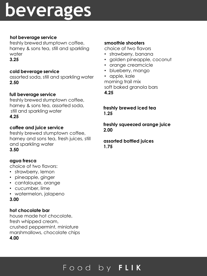## **beverages**

#### **hot beverage service**

freshly brewed stumptown coffee, harney & sons tea, still and sparkling water

**3.25**

#### **cold beverage service**

assorted soda, still and sparkling water **2.50**

### **full beverage service**

freshly brewed stumptown coffee, harney & sons tea, assorted soda, still and sparkling water **4.25**

### **coffee and juice service**

freshly brewed stumptown coffee, harney and sons tea, fresh juices, still and sparkling water **3.50**

#### **agua fresca**

choice of two flavors:

- strawberry, lemon
- pineapple, ginger
- cantaloupe, orange
- cucumber, lime
- watermelon, jalapeno
- **3.00**

### **hot chocolate bar**

house made hot chocolate, fresh whipped cream, crushed peppermint, miniature marshmallows, chocolate chips **4.00**

#### **smoothie shooters**

choice of two flavors

- strawberry, banana
- golden pineapple, coconut
- orange creamcicle
- blueberry, mango
- apple, kale morning trail mix soft baked granola bars **4.25**

**freshly brewed iced tea 1.25**

#### **freshly squeezed orange juice 2.00**

#### **assorted bottled juices 1.75**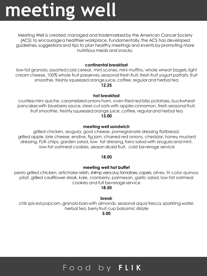## **meeting well**

Meeting Well is created,managed and trademarkedby the American Cancer Society (ACS) to encourage a healthier workplace. Fundamentally, the ACS has developed guidelines,suggestions and tips to plan healthy meetings and events by promoting more nutritious meals and snacks.

#### **continental breakfast**

low-fat granola, assorted cold cereal, mini scones, mini muffins, whole wheat bagels, light cream cheese, 100% whole fruit preserves,seasonal fresh fruit, fresh fruit yogurt parfaits, fruit smoothie, freshly squeezed orange juice, coffee, regularand herbal tea

**12.25**

#### **hot breakfast**

crustlessmini quiche, caramelized onions ham, oven fried red bliss potatoes, buckwheat pancakes with blueberry sauce, steel-cut oats with apples cinnamon, fresh seasonal fruit, fruit smoothie, freshly squeezedorange juice, coffee, regularand herbal tea **13.00**

#### **meeting well sandwich**

grilled chicken, arugula, goat cheese, pomegranate dressing flatbread, grilled apple, brie cheese, endive, fig jam, charred red onions, cheddar, honey mustard dressing, FLIK chips, garden salad, low- fat dressing,farro salad with arugula and mint, low-fat oatmeal cookies, season sliced fruit, cold beverage service

#### **18.00**

#### **meeting well hot buffet**

pesto grilled chicken, artichoke relish, shrimp veracruz, tomatoes, capers, olives, tri color quinoa pilaf, grilled cauliflower steak, kale, cranberry, parmesan, garlic salad, low-fat oatmeal cookies and full beverage service

**18.50**

#### **break**

chili spiced popcorn, granola bars with almonds, seasonal aqua fresca, sparkling water, herbal tea, berry fruit cup balsamic drizzle

**5.00**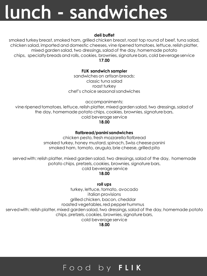## **lunch - sandwiches**

#### **deli buffet**

smoked turkey breast, smoked ham, grilled chicken breast, roast top round of beef, tuna salad, chicken salad, imported and domestic cheeses, vine ripenedtomatoes, lettuce, relish platter, mixed garden salad, two dressings, salad of the day, homemade potato chips, specialtybreadsand rolls, cookies, brownies,signaturebars, cold beverageservice

**17.00**

#### **FLIK sandwich sampler**

sandwiches on artisan breads: classic tuna salad roast turkey chef's choice seasonalsandwiches

accompaniments:

vine ripened tomatoes, lettuce, relish platter, mixed garden salad, two dressings, salad of the day, homemade potato chips, cookies, brownies, signature bars, cold beverage service

**18.00**

#### **flatbread/panini sandwiches**

chicken pesto, fresh mozzarellaflatbread smoked turkey, honey mustard,spinach, Swiss cheese panini smoked ham, tomato, arugula, brie cheese, grilled pita

served with: relish platter, mixed garden salad, two dressings, salad of the day, homemade potato chips, pretzels, cookies, brownies, signature bars,

cold beverage service

#### **18.00**

**roll ups**

turkey, lettuce, tomato, avocado italian provisions grilled chicken, bacon, cheddar roasted vegetables,red pepperhummus served with: relish platter, mixed garden salad, two dressings, salad of the day, homemade potato chips, pretzels, cookies, brownies, signature bars, cold beverage service **18.00**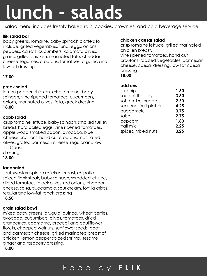## **lunch - salads**

salad menu includes freshly baked rolls, cookies, brownies, and cold beverage service

#### **flik salad bar**

baby greens, romaine, baby spinach platters to include: grilled vegetables, tuna, eggs, onions, peppers, carrots, cucumbers, kalamata olives, grains, grilled chicken, marinated tofu, cheddar cheese, legumes, croutons, tomatoes, organic and low-fat dressings,

#### **17.00**

#### **greek salad**

lemon pepper chicken, crisp romaine, baby spinach, vine ripened tomatoes, cucumbers, onions, marinated olives, feta, greek dressing **18.00**

#### **cobb salad**

crisp romaine lettuce, baby spinach, smoked turkey breast, hard boiled eggs, vine ripened tomatoes, apple wood smoked bacon, avocado, blue cheese,scallions, hand cut croutons, marinated olives, arated parmesan cheese, regular and lowfat Caesar dressing

**18.00**

#### **taco salad**

southwestern spiced chicken breast, chipotle spiced flank steak, baby spinach, shredded lettuce, diced tomatoes, black olives, red onions, cheddar cheese,salsa, guacamole,sour cream,tortilla crisps, regularand low-fat ranch dressing **18.50**

#### **grain salad bowl**

mixed baby greens, arugula, quinoa, wheat berries, avocado, cucumbers, olives, tomatoes, dried cranberries, edamame, broccoli and cauliflower florets, chopped walnuts, sunflower seeds, goat and parmesan cheese, grilled marinated breast of chicken, lemon pepper spiced shrimp, sesame ginger and raspberry dressing, **18.00**

#### **chicken caesar salad**

crisp romaine lettuce, grilled marinated chicken breast, vine ripened tomatoes, hand cut croutons, roasted vegetables, parmesan cheese, caesar dressing, low fat caesar dressing **18.00**

#### **add ons**

| flik chips             | 1.50 |
|------------------------|------|
| soup of the day        | 3.50 |
| soft pretzel nuggets   | 2.50 |
| seasonal fruit platter | 4.25 |
| guacamole              | 3.75 |
| salsa                  | 2.75 |
| popcorn                | 1.80 |
| trail mix              | 2.25 |
| spiced mixed nuts      | 3.25 |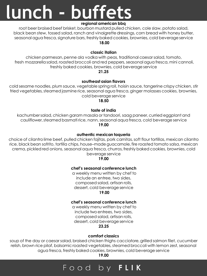## **lunch - buffets**

#### **regional american bbq**

root beer braised beef brisket, bourbon mustard pulled chicken, cole slaw, potato salad, black bean stew, tossed salad, ranch and vinaigrettedressings, corn bread with honey butter, seasonal agua fresca, signature bars, freshly baked cookies, brownies, cold beverage service **18.00**

**classic italian**

chicken parmesan, penne ala vodka with peas, traditional caesar salad, tomato, fresh mozzarella salad, roasted broccoli and red peppers, seasonal agua fresca, mini cannoli, freshly baked cookies, brownies, cold beverage service

#### **21.25**

#### **southeast asian flavors**

cold sesame noodles, plum sauce, vegetable spring roll, hoisin sauce, tangerine crispy chicken, stir fried vegetables, steamed jasmine rice, seasonal agua fresca, ginger molasses cookies, brownies, cold beverage service

**18.50**

#### **taste of india**

kachumbersalad, chicken garam masala or tandoori, saag paneer, curried eggplant and cauliflower,steamed basmati rice, nann, seasonalaqua fresca, cold beverage service **19.00**

#### **authentic mexican taqueria**

choice of cilantro lime beef, pulled chicken fajitas, pork carnitas,soft flour tortillas, mexican cilantro rice, black bean sofrito, tortilla chips, house–madeguacamole,fire roasted tomato salsa, mexican crema, pickledred onions, seasonal aqua fresca, churros,freshly baked cookies, brownies, cold beverage service

**19.00**

#### **chef's seasonal conference lunch**

a weekly menu written by chef to include an entree, two sides, composed salad, artisan rolls, dessert, cold beverage service **19.00** 

#### **chef's seasonal conference lunch**

a weekly menu written by chef to include twoentrees, two sides, composed salad, artisan rolls, dessert, cold beverage service **23.25**

#### **comfort classics**

soup of the day or caesar salad, braised chicken thighs cacciatore,grilled salmon filet, cucumber relish, brown rice pilaf, balsamic roasted vegetables, steamed broccoli with lemon zest, seasonal agua fresca, freshly baked cookies,brownies, cold beverage service

**19.00**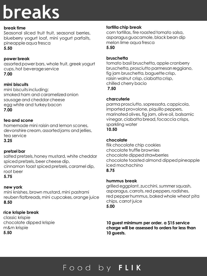## **breaks**

#### **break time**

Seasonal sliced fruit fruit, seasonal berries, blueberry yogurt loaf, mini yogurt parfaits, pineappleaqua fresca

#### **5.50**

#### **power break**

assorted power bars, whole fruit, greek yogurt cups, hot beverage service **7.00**

#### **mini biscuits**

mini biscuits including: smoked ham and caramelizedonion sausage and cheddar cheese egg white and turkey bacon **7.00**

#### **tea and scone**

homemade mini raisin and lemon scones, devonshire cream, assorted jams and jellies, tea service

**3.25**

#### **pretzel bar**

salted pretzels, honey mustard, white cheddar spiced pretzels, beer cheese dip, cinnamon toast spiced pretzels, caramel dip, root beer **5.75**

#### **new york**

mini knishes, brown mustard, mini pastrami reuben flatbreads, mini cupcakes, orange juice **8.50**

#### **rice krispie break**

classic krispie chocolate dipped krispie m&m krispie **5.50**

#### **tortilla chip break**

corn tortillas, fire roasted tomato salsa, asparagus guacamole, black bean dip melon lime aqua fresca **5.50**

#### **bruschetta**

tomato basil bruschetta, apple cranberry bruschetta, prosciutto parmesan reggiano, fig jam bruschetta, baguette crisp, raisin walnut crisp, ciabatta crisp, chilled cherry bacio **7.50**

#### **charcuterie**

parma prosciutto, sopressata, cappicola, imported provolone, piquillo peppers, marinated olives, fig jam, olive oil, balsamic vinegar,ciabatta bread,focaccia crisps, sparkling water **10.50**

#### **chocolate**

flik chocolate chip cookies chocolate truffle brownies chocolate dippedstrawberries chocolate toasted almond dippedpineapple iced mochachino **8.75**

#### **hummus break**

grilled eggplant, zucchini,summer squash, asparagus, carrots, red peppers, radishes, red pepperhummus, baked whole wheat pita chips, carrot juice **5.00**

**10 guest minimum per order. a \$15 service charge will be assessed to orders for less than 10 guests.**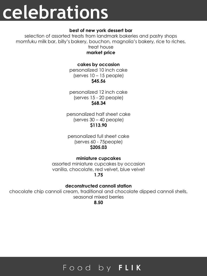## **celebrations**

#### **best of new york dessert bar**

selection of assorted treats from landmark bakeries and pastry shops momfuku milk bar, billy's bakery, bouchon, magnolia's bakery, rice to riches, treat house

#### **market price**

#### **cakes by occasion**

personalized 10 inch cake (serves 10 – 15 people) **\$45.56**

personalized 12 inch cake (serves 15 - 20 people) **\$68.34**

personalized half sheet cake (serves 30 – 40 people) **\$113.90**

personalized full sheet cake (serves 60 - 75people) **\$205.03**

#### **miniature cupcakes**

assorted miniature cupcakes by occasion vanilla, chocolate, red velvet, blue velvet **1.75**

#### **deconstructed cannoli station**

chocolate chip cannoli cream, traditional and chocolate dipped cannoli shells, seasonal mixed berries

**8.50**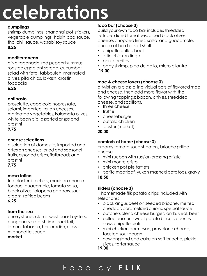# **celebrations**

#### **dumplings**

shrimp dumplings, shanghai pot stickers, vegetable dumplings, hoisin bbq sauce, thai chili sauce, wasabi soy sauce **8.25**

#### **mediterranean**

olive tapenade, red pepperhummus, roasted eggplantspread,cucumber salad with feta, tabbouleh, marinated olives, pita chips, lavash, crostini, focaccia

**6.25**

#### **antipasto**

prosciutto, cappicola,sopressata, salami, imported italian cheeses, marinated vegetables, kalamata olives, white bean dip, assorted crisps and crostini

**9.75**

#### **cheese selections**

a selection of domestic, imported and artesiancheeses,dried and seasonal fruits, assorted crisps, flatbreads and crostini **7.75**

#### **mesa latina**

tri-color tortilla chips, mexican cheese fondue, guacamole, tomato salsa, black olives, jalapeno peppers, sour cream, refriedbeans **6.25**

#### **from the sea**

cherry stones clams, west coast oysters, dungenesscrab,shrimp cocktail, lemon, tabasco, horseradish, classic mignonette sauce **market**

### **taco bar (choose 3)**

build your own taco bar includesshredded lettuce, diced tomatoes, diced black olives, cheese,chopped limes, salsa, and guacamole. choice of hard or soft shell

- chipotle pulled beef
- latin chicken tinga
- pork carnitas
- baby shrimp, pico de gallo, micro cilantro **19.00**
- 

#### **mac & cheese lovers (choose 3)**

a twist on a classic! individual pots of flavored mac and cheese. then add more flavor with the following toppings: bacon, chives, shredded cheese, and scallions.

- three cheese
- truffle
- cheeseburger
- buffalo chicken
- lobster (market)
- **20.00**

#### **comforts of home (choose 3)**

creamy tomato soup shooters, brioche grilled cheese

- mini rueben with russian dressing drizzle
- mini monte cristo
- chicken pot pie tartlets
- petite meatloaf, yukon mashed potatoes, gravy

#### **18.50**

#### **sliders (choose 3)**

homemade flik potato chips included with selections:

- black angus beef on seeded brioche, melted cheddar, caramelized onions, special sauce
- butchers blend cheese burger, lamb, veal, beef
- pulled pork on sweet potato biscuit, country slaw, chipotle aioli
- mini chicken parmesan, provolone cheese, toasted sour dough
- new england cod cake on soft brioche, pickle slices, tartar sauce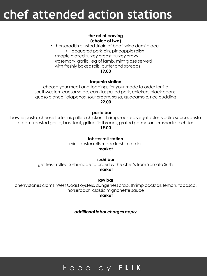## **chef attended action stations**

#### **the art of carving (choice of two)**

• horseradish crustedsirloin of beef, wine demi glace • lacquered pork loin, pineapple relish •maple glazed turkey breast, turkey gravy •rosemary,garlic, leg of lamb, mint glaze served with freshly baked rolls, butter and spreads **19.00**

#### **taqueria station**

choose your meat and toppings for your made to order tortilla southwestern caesar salad, carnitas pulled pork, chicken, black beans, queso blanco, jalapenos,sour cream,salsa,guacamole, rice pudding **22.00**

**pasta bar**

bowtie pasta, cheese tortellini, grilled chicken, shrimp, roasted vegetables, vodka sauce,pesto cream, roasted garlic, basil leaf, grilled flatbreads, grated parmesan, crushed red chilies **19.00**

> **lobster roll station** mini lobster rolls made fresh to order **market**

**sushi bar** get fresh rolled sushi made to order by the chef's from Yamato Sushi **market**

**raw bar**

cherry stones clams, West Coast oysters, dungenesscrab,shrimp cocktail, lemon, tabasco, horseradish, classic mignonette sauce

**market**

*additional labor charges apply*